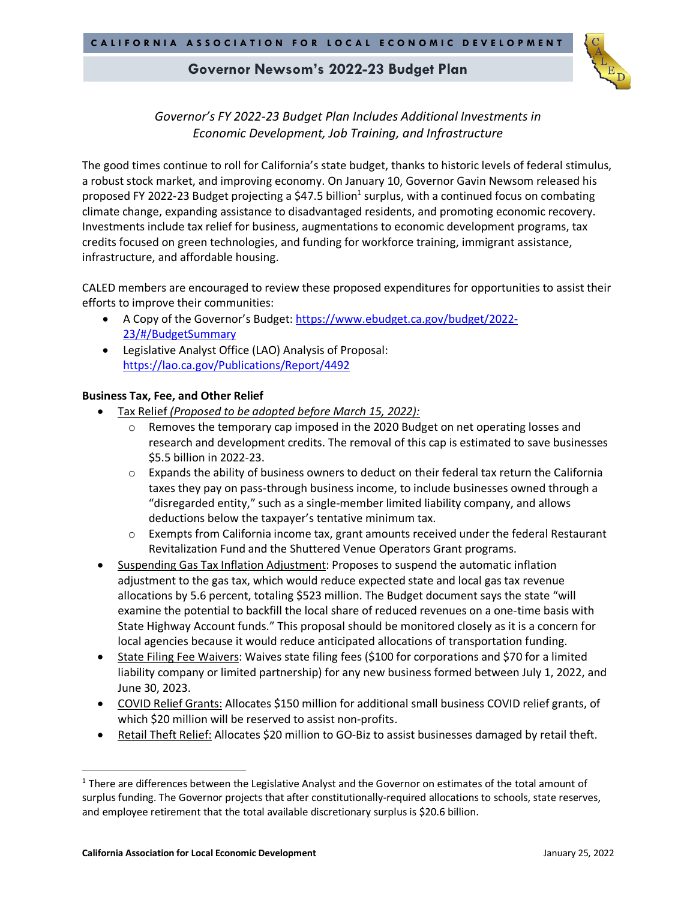

# *Governor's FY 2022-23 Budget Plan Includes Additional Investments in Economic Development, Job Training, and Infrastructure*

The good times continue to roll for California's state budget, thanks to historic levels of federal stimulus, a robust stock market, and improving economy. On January 10, Governor Gavin Newsom released his proposed FY 2022-23 Budget projecting a \$47.5 billion<sup>1</sup> surplus, with a continued focus on combating climate change, expanding assistance to disadvantaged residents, and promoting economic recovery. Investments include tax relief for business, augmentations to economic development programs, tax credits focused on green technologies, and funding for workforce training, immigrant assistance, infrastructure, and affordable housing.

CALED members are encouraged to review these proposed expenditures for opportunities to assist their efforts to improve their communities:

- A Copy of the Governor's Budget: https://www.ebudget.ca.gov/budget/2022-23/#/BudgetSummary
- Legislative Analyst Office (LAO) Analysis of Proposal: https://lao.ca.gov/Publications/Report/4492

### **Business Tax, Fee, and Other Relief**

- Tax Relief *(Proposed to be adopted before March 15, 2022):*
	- $\circ$  Removes the temporary cap imposed in the 2020 Budget on net operating losses and research and development credits. The removal of this cap is estimated to save businesses \$5.5 billion in 2022-23.
	- $\circ$  Expands the ability of business owners to deduct on their federal tax return the California taxes they pay on pass-through business income, to include businesses owned through a "disregarded entity," such as a single-member limited liability company, and allows deductions below the taxpayer's tentative minimum tax.
	- $\circ$  Exempts from California income tax, grant amounts received under the federal Restaurant Revitalization Fund and the Shuttered Venue Operators Grant programs.
- Suspending Gas Tax Inflation Adjustment: Proposes to suspend the automatic inflation adjustment to the gas tax, which would reduce expected state and local gas tax revenue allocations by 5.6 percent, totaling \$523 million. The Budget document says the state "will examine the potential to backfill the local share of reduced revenues on a one-time basis with State Highway Account funds." This proposal should be monitored closely as it is a concern for local agencies because it would reduce anticipated allocations of transportation funding.
- State Filing Fee Waivers: Waives state filing fees (\$100 for corporations and \$70 for a limited liability company or limited partnership) for any new business formed between July 1, 2022, and June 30, 2023.
- COVID Relief Grants: Allocates \$150 million for additional small business COVID relief grants, of which \$20 million will be reserved to assist non-profits.
- Retail Theft Relief: Allocates \$20 million to GO-Biz to assist businesses damaged by retail theft.

<sup>&</sup>lt;sup>1</sup> There are differences between the Legislative Analyst and the Governor on estimates of the total amount of surplus funding. The Governor projects that after constitutionally-required allocations to schools, state reserves, and employee retirement that the total available discretionary surplus is \$20.6 billion.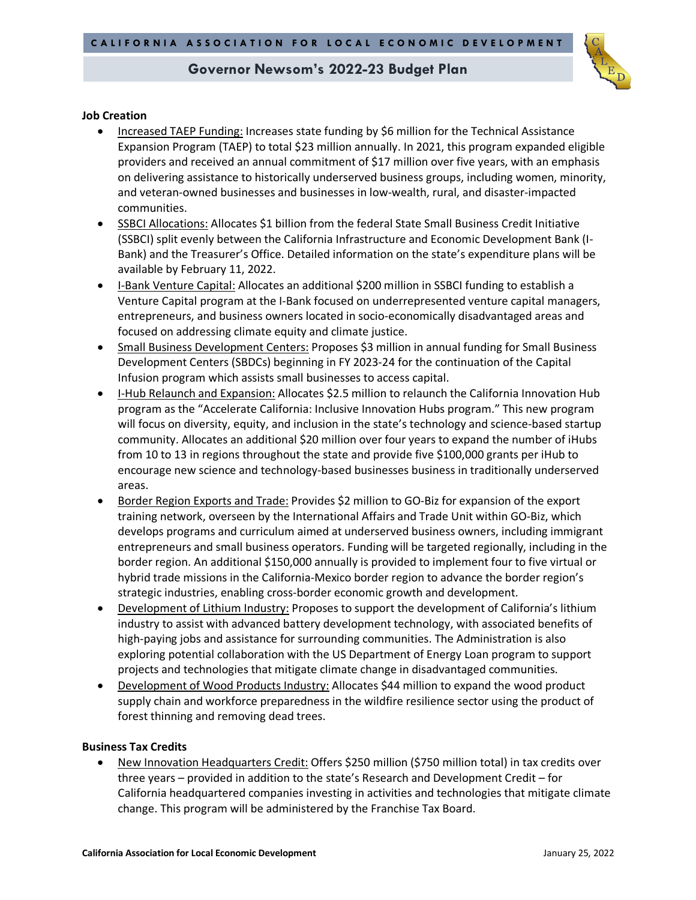

### **Job Creation**

- Increased TAEP Funding: Increases state funding by \$6 million for the Technical Assistance Expansion Program (TAEP) to total \$23 million annually. In 2021, this program expanded eligible providers and received an annual commitment of \$17 million over five years, with an emphasis on delivering assistance to historically underserved business groups, including women, minority, and veteran-owned businesses and businesses in low-wealth, rural, and disaster-impacted communities.
- SSBCI Allocations: Allocates \$1 billion from the federal State Small Business Credit Initiative (SSBCI) split evenly between the California Infrastructure and Economic Development Bank (I-Bank) and the Treasurer's Office. Detailed information on the state's expenditure plans will be available by February 11, 2022.
- I-Bank Venture Capital: Allocates an additional \$200 million in SSBCI funding to establish a Venture Capital program at the I-Bank focused on underrepresented venture capital managers, entrepreneurs, and business owners located in socio-economically disadvantaged areas and focused on addressing climate equity and climate justice.
- Small Business Development Centers: Proposes \$3 million in annual funding for Small Business Development Centers (SBDCs) beginning in FY 2023-24 for the continuation of the Capital Infusion program which assists small businesses to access capital.
- I-Hub Relaunch and Expansion: Allocates \$2.5 million to relaunch the California Innovation Hub program as the "Accelerate California: Inclusive Innovation Hubs program." This new program will focus on diversity, equity, and inclusion in the state's technology and science-based startup community. Allocates an additional \$20 million over four years to expand the number of iHubs from 10 to 13 in regions throughout the state and provide five \$100,000 grants per iHub to encourage new science and technology-based businesses business in traditionally underserved areas.
- Border Region Exports and Trade: Provides \$2 million to GO-Biz for expansion of the export training network, overseen by the International Affairs and Trade Unit within GO-Biz, which develops programs and curriculum aimed at underserved business owners, including immigrant entrepreneurs and small business operators. Funding will be targeted regionally, including in the border region. An additional \$150,000 annually is provided to implement four to five virtual or hybrid trade missions in the California-Mexico border region to advance the border region's strategic industries, enabling cross-border economic growth and development.
- Development of Lithium Industry: Proposes to support the development of California's lithium industry to assist with advanced battery development technology, with associated benefits of high-paying jobs and assistance for surrounding communities. The Administration is also exploring potential collaboration with the US Department of Energy Loan program to support projects and technologies that mitigate climate change in disadvantaged communities.
- Development of Wood Products Industry: Allocates \$44 million to expand the wood product supply chain and workforce preparedness in the wildfire resilience sector using the product of forest thinning and removing dead trees.

#### **Business Tax Credits**

• New Innovation Headquarters Credit: Offers \$250 million (\$750 million total) in tax credits over three years – provided in addition to the state's Research and Development Credit – for California headquartered companies investing in activities and technologies that mitigate climate change. This program will be administered by the Franchise Tax Board.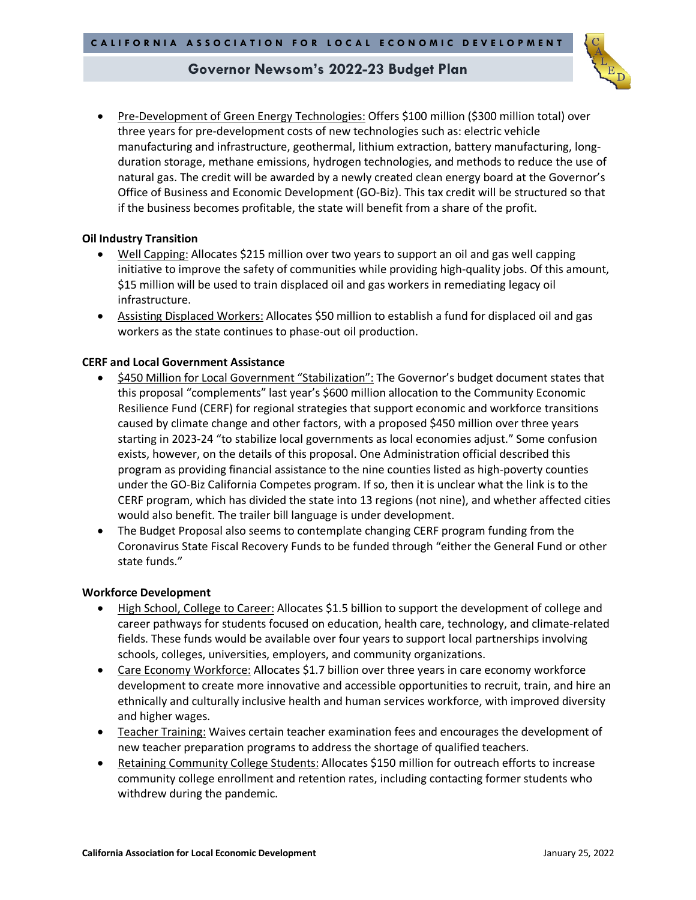• Pre-Development of Green Energy Technologies: Offers \$100 million (\$300 million total) over three years for pre-development costs of new technologies such as: electric vehicle manufacturing and infrastructure, geothermal, lithium extraction, battery manufacturing, longduration storage, methane emissions, hydrogen technologies, and methods to reduce the use of natural gas. The credit will be awarded by a newly created clean energy board at the Governor's Office of Business and Economic Development (GO-Biz). This tax credit will be structured so that if the business becomes profitable, the state will benefit from a share of the profit.

### **Oil Industry Transition**

- Well Capping: Allocates \$215 million over two years to support an oil and gas well capping initiative to improve the safety of communities while providing high-quality jobs. Of this amount, \$15 million will be used to train displaced oil and gas workers in remediating legacy oil infrastructure.
- Assisting Displaced Workers: Allocates \$50 million to establish a fund for displaced oil and gas workers as the state continues to phase-out oil production.

### **CERF and Local Government Assistance**

- \$450 Million for Local Government "Stabilization": The Governor's budget document states that this proposal "complements" last year's \$600 million allocation to the Community Economic Resilience Fund (CERF) for regional strategies that support economic and workforce transitions caused by climate change and other factors, with a proposed \$450 million over three years starting in 2023-24 "to stabilize local governments as local economies adjust." Some confusion exists, however, on the details of this proposal. One Administration official described this program as providing financial assistance to the nine counties listed as high-poverty counties under the GO-Biz California Competes program. If so, then it is unclear what the link is to the CERF program, which has divided the state into 13 regions (not nine), and whether affected cities would also benefit. The trailer bill language is under development.
- The Budget Proposal also seems to contemplate changing CERF program funding from the Coronavirus State Fiscal Recovery Funds to be funded through "either the General Fund or other state funds."

### **Workforce Development**

- High School, College to Career: Allocates \$1.5 billion to support the development of college and career pathways for students focused on education, health care, technology, and climate-related fields. These funds would be available over four years to support local partnerships involving schools, colleges, universities, employers, and community organizations.
- Care Economy Workforce: Allocates \$1.7 billion over three years in care economy workforce development to create more innovative and accessible opportunities to recruit, train, and hire an ethnically and culturally inclusive health and human services workforce, with improved diversity and higher wages.
- Teacher Training: Waives certain teacher examination fees and encourages the development of new teacher preparation programs to address the shortage of qualified teachers.
- Retaining Community College Students: Allocates \$150 million for outreach efforts to increase community college enrollment and retention rates, including contacting former students who withdrew during the pandemic.

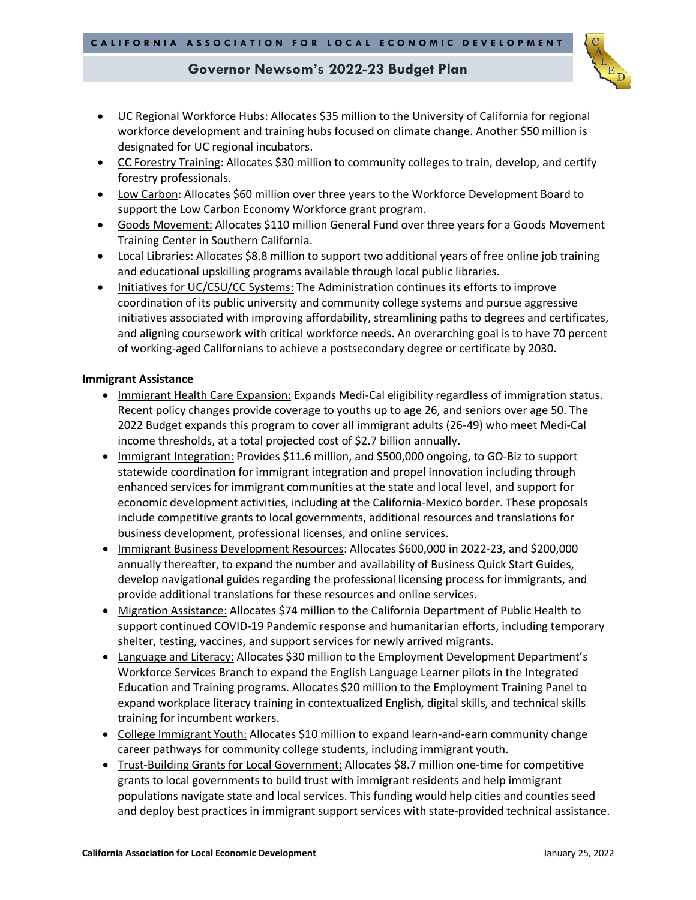- 
- UC Regional Workforce Hubs: Allocates \$35 million to the University of California for regional workforce development and training hubs focused on climate change. Another \$50 million is designated for UC regional incubators.
- CC Forestry Training: Allocates \$30 million to community colleges to train, develop, and certify forestry professionals.
- Low Carbon: Allocates \$60 million over three years to the Workforce Development Board to support the Low Carbon Economy Workforce grant program.
- Goods Movement: Allocates \$110 million General Fund over three years for a Goods Movement Training Center in Southern California.
- Local Libraries: Allocates \$8.8 million to support two additional years of free online job training and educational upskilling programs available through local public libraries.
- Initiatives for UC/CSU/CC Systems: The Administration continues its efforts to improve coordination of its public university and community college systems and pursue aggressive initiatives associated with improving affordability, streamlining paths to degrees and certificates, and aligning coursework with critical workforce needs. An overarching goal is to have 70 percent of working-aged Californians to achieve a postsecondary degree or certificate by 2030.

### **Immigrant Assistance**

- Immigrant Health Care Expansion: Expands Medi-Cal eligibility regardless of immigration status. Recent policy changes provide coverage to youths up to age 26, and seniors over age 50. The 2022 Budget expands this program to cover all immigrant adults (26-49) who meet Medi-Cal income thresholds, at a total projected cost of \$2.7 billion annually.
- Immigrant Integration: Provides \$11.6 million, and \$500,000 ongoing, to GO-Biz to support statewide coordination for immigrant integration and propel innovation including through enhanced services for immigrant communities at the state and local level, and support for economic development activities, including at the California-Mexico border. These proposals include competitive grants to local governments, additional resources and translations for business development, professional licenses, and online services.
- Immigrant Business Development Resources: Allocates \$600,000 in 2022-23, and \$200,000 annually thereafter, to expand the number and availability of Business Quick Start Guides, develop navigational guides regarding the professional licensing process for immigrants, and provide additional translations for these resources and online services.
- Migration Assistance: Allocates \$74 million to the California Department of Public Health to support continued COVID-19 Pandemic response and humanitarian efforts, including temporary shelter, testing, vaccines, and support services for newly arrived migrants.
- Language and Literacy: Allocates \$30 million to the Employment Development Department's Workforce Services Branch to expand the English Language Learner pilots in the Integrated Education and Training programs. Allocates \$20 million to the Employment Training Panel to expand workplace literacy training in contextualized English, digital skills, and technical skills training for incumbent workers.
- College Immigrant Youth: Allocates \$10 million to expand learn-and-earn community change career pathways for community college students, including immigrant youth.
- Trust-Building Grants for Local Government: Allocates \$8.7 million one-time for competitive grants to local governments to build trust with immigrant residents and help immigrant populations navigate state and local services. This funding would help cities and counties seed and deploy best practices in immigrant support services with state-provided technical assistance.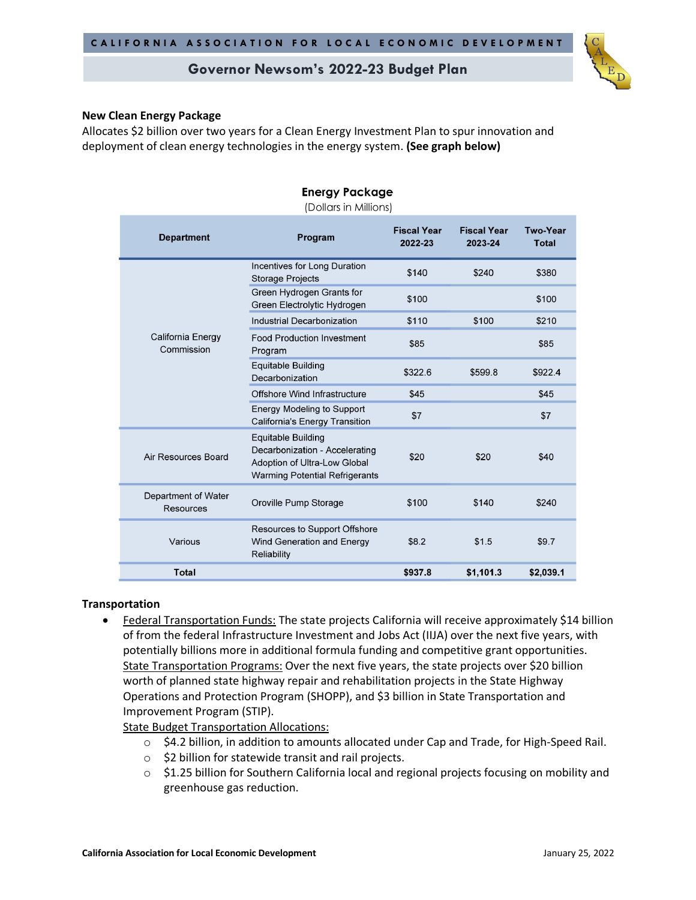### **New Clean Energy Package**

Allocates \$2 billion over two years for a Clean Energy Investment Plan to spur innovation and deployment of clean energy technologies in the energy system. **(See graph below)**

| <b>Department</b>                | Program                                                                                                                              | <b>Fiscal Year</b><br>2022-23 | <b>Fiscal Year</b><br>2023-24 | <b>Two-Year</b><br><b>Total</b> |
|----------------------------------|--------------------------------------------------------------------------------------------------------------------------------------|-------------------------------|-------------------------------|---------------------------------|
| California Energy<br>Commission  | Incentives for Long Duration<br><b>Storage Projects</b>                                                                              | \$140                         | \$240                         | \$380                           |
|                                  | Green Hydrogen Grants for<br>Green Electrolytic Hydrogen                                                                             | \$100                         |                               | \$100                           |
|                                  | <b>Industrial Decarbonization</b>                                                                                                    | \$110                         | \$100                         | \$210                           |
|                                  | <b>Food Production Investment</b><br>Program                                                                                         | \$85                          |                               | \$85                            |
|                                  | <b>Equitable Building</b><br>Decarbonization                                                                                         | \$322.6                       | \$599.8                       | \$922.4                         |
|                                  | Offshore Wind Infrastructure                                                                                                         | \$45                          |                               | \$45                            |
|                                  | <b>Energy Modeling to Support</b><br><b>California's Energy Transition</b>                                                           | \$7                           |                               | \$7                             |
| Air Resources Board              | <b>Equitable Building</b><br>Decarbonization - Accelerating<br>Adoption of Ultra-Low Global<br><b>Warming Potential Refrigerants</b> | \$20                          | \$20                          | \$40                            |
| Department of Water<br>Resources | Oroville Pump Storage                                                                                                                | \$100                         | \$140                         | \$240                           |
| Various                          | Resources to Support Offshore<br>Wind Generation and Energy<br>Reliability                                                           | \$8.2                         | \$1.5                         | \$9.7                           |
| <b>Total</b>                     |                                                                                                                                      | \$937.8                       | \$1,101.3                     | \$2,039.1                       |

## **Energy Package**

### **Transportation**

• Federal Transportation Funds: The state projects California will receive approximately \$14 billion of from the federal Infrastructure Investment and Jobs Act (IIJA) over the next five years, with potentially billions more in additional formula funding and competitive grant opportunities. State Transportation Programs: Over the next five years, the state projects over \$20 billion worth of planned state highway repair and rehabilitation projects in the State Highway Operations and Protection Program (SHOPP), and \$3 billion in State Transportation and Improvement Program (STIP).

State Budget Transportation Allocations:

- o \$4.2 billion, in addition to amounts allocated under Cap and Trade, for High-Speed Rail.
- o \$2 billion for statewide transit and rail projects.
- o \$1.25 billion for Southern California local and regional projects focusing on mobility and greenhouse gas reduction.

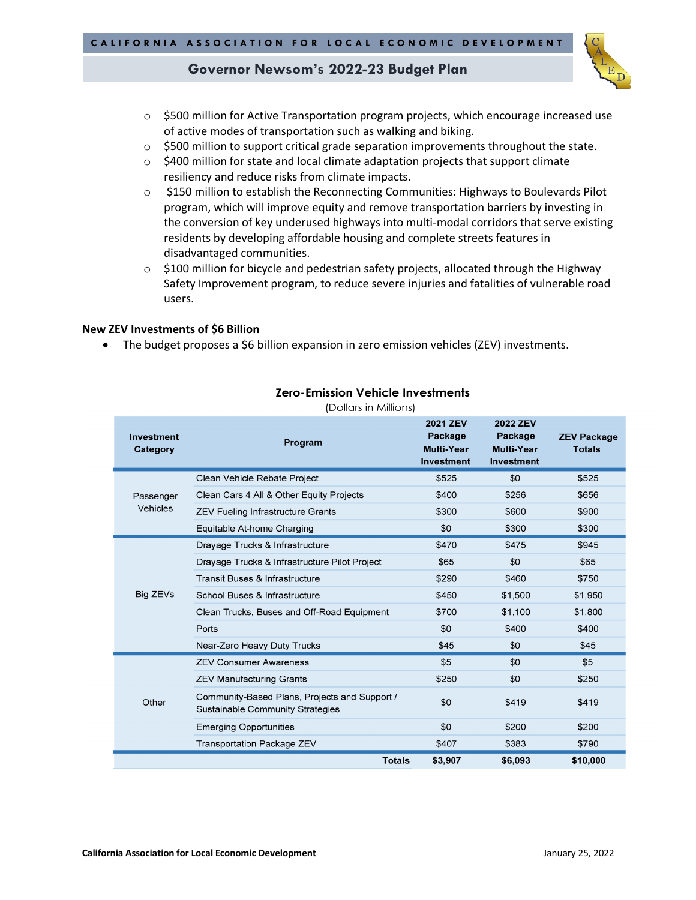

- $\circ$  \$500 million for Active Transportation program projects, which encourage increased use of active modes of transportation such as walking and biking.
- $\circ$  \$500 million to support critical grade separation improvements throughout the state.
- $\circ$  \$400 million for state and local climate adaptation projects that support climate resiliency and reduce risks from climate impacts.
- o \$150 million to establish the Reconnecting Communities: Highways to Boulevards Pilot program, which will improve equity and remove transportation barriers by investing in the conversion of key underused highways into multi-modal corridors that serve existing residents by developing affordable housing and complete streets features in disadvantaged communities.
- $\circ$  \$100 million for bicycle and pedestrian safety projects, allocated through the Highway Safety Improvement program, to reduce severe injuries and fatalities of vulnerable road users.

#### **New ZEV Investments of \$6 Billion**

• The budget proposes a \$6 billion expansion in zero emission vehicles (ZEV) investments.

| Investment<br>Category | Program                                                                           | <b>2021 ZEV</b><br><b>Package</b><br><b>Multi-Year</b><br>Investment | <b>2022 ZEV</b><br><b>Package</b><br><b>Multi-Year</b><br>Investment | <b>ZEV Package</b><br><b>Totals</b> |
|------------------------|-----------------------------------------------------------------------------------|----------------------------------------------------------------------|----------------------------------------------------------------------|-------------------------------------|
| Passenger<br>Vehicles  | Clean Vehicle Rebate Project                                                      | \$525                                                                | \$0                                                                  | \$525                               |
|                        | Clean Cars 4 All & Other Equity Projects                                          | \$400                                                                | \$256                                                                | \$656                               |
|                        | <b>ZEV Fueling Infrastructure Grants</b>                                          | \$300                                                                | \$600                                                                | \$900                               |
|                        | Equitable At-home Charging                                                        | \$0                                                                  | \$300                                                                | \$300                               |
| Big ZEVs               | Drayage Trucks & Infrastructure                                                   | \$470                                                                | \$475                                                                | \$945                               |
|                        | Drayage Trucks & Infrastructure Pilot Project                                     | \$65                                                                 | \$0                                                                  | \$65                                |
|                        | Transit Buses & Infrastructure                                                    | \$290                                                                | \$460                                                                | \$750                               |
|                        | School Buses & Infrastructure                                                     | \$450                                                                | \$1,500                                                              | \$1,950                             |
|                        | Clean Trucks, Buses and Off-Road Equipment                                        | \$700                                                                | \$1,100                                                              | \$1,800                             |
|                        | Ports                                                                             | \$0                                                                  | \$400                                                                | \$400                               |
|                        | Near-Zero Heavy Duty Trucks                                                       | \$45                                                                 | \$0                                                                  | \$45                                |
| Other                  | <b>ZEV Consumer Awareness</b>                                                     | \$5                                                                  | \$0                                                                  | \$5                                 |
|                        | <b>ZEV Manufacturing Grants</b>                                                   | \$250                                                                | \$0                                                                  | \$250                               |
|                        | Community-Based Plans, Projects and Support /<br>Sustainable Community Strategies | \$0                                                                  | \$419                                                                | \$419                               |
|                        | <b>Emerging Opportunities</b>                                                     | \$0                                                                  | \$200                                                                | \$200                               |
|                        | Transportation Package ZEV                                                        | \$407                                                                | \$383                                                                | \$790                               |
|                        | <b>Totals</b>                                                                     | \$3,907                                                              | \$6,093                                                              | \$10,000                            |

### **Zero-Emission Vehicle Investments**

(Dollars in Millions)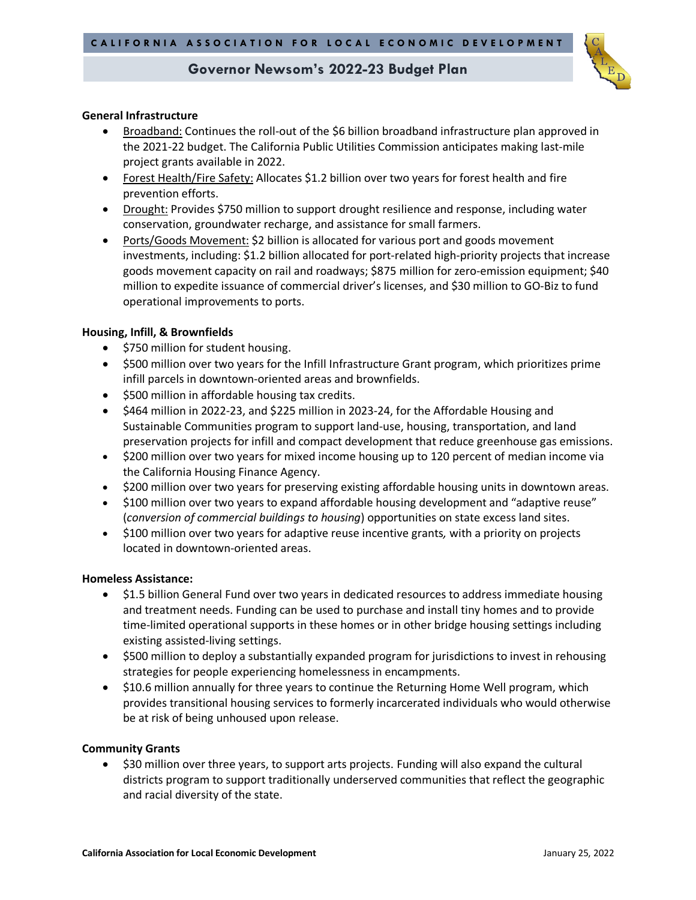

### **General Infrastructure**

- Broadband: Continues the roll-out of the \$6 billion broadband infrastructure plan approved in the 2021-22 budget. The California Public Utilities Commission anticipates making last-mile project grants available in 2022.
- Forest Health/Fire Safety: Allocates \$1.2 billion over two years for forest health and fire prevention efforts.
- Drought: Provides \$750 million to support drought resilience and response, including water conservation, groundwater recharge, and assistance for small farmers.
- Ports/Goods Movement: \$2 billion is allocated for various port and goods movement investments, including: \$1.2 billion allocated for port-related high-priority projects that increase goods movement capacity on rail and roadways; \$875 million for zero-emission equipment; \$40 million to expedite issuance of commercial driver's licenses, and \$30 million to GO-Biz to fund operational improvements to ports.

### **Housing, Infill, & Brownfields**

- \$750 million for student housing.
- \$500 million over two years for the Infill Infrastructure Grant program, which prioritizes prime infill parcels in downtown-oriented areas and brownfields.
- \$500 million in affordable housing tax credits.
- \$464 million in 2022-23, and \$225 million in 2023-24, for the Affordable Housing and Sustainable Communities program to support land-use, housing, transportation, and land preservation projects for infill and compact development that reduce greenhouse gas emissions.
- \$200 million over two years for mixed income housing up to 120 percent of median income via the California Housing Finance Agency.
- \$200 million over two years for preserving existing affordable housing units in downtown areas.
- \$100 million over two years to expand affordable housing development and "adaptive reuse" (*conversion of commercial buildings to housing*) opportunities on state excess land sites.
- \$100 million over two years for adaptive reuse incentive grants*,* with a priority on projects located in downtown-oriented areas.

### **Homeless Assistance:**

- \$1.5 billion General Fund over two years in dedicated resources to address immediate housing and treatment needs. Funding can be used to purchase and install tiny homes and to provide time-limited operational supports in these homes or in other bridge housing settings including existing assisted-living settings.
- \$500 million to deploy a substantially expanded program for jurisdictions to invest in rehousing strategies for people experiencing homelessness in encampments.
- \$10.6 million annually for three years to continue the Returning Home Well program, which provides transitional housing services to formerly incarcerated individuals who would otherwise be at risk of being unhoused upon release.

### **Community Grants**

• \$30 million over three years, to support arts projects. Funding will also expand the cultural districts program to support traditionally underserved communities that reflect the geographic and racial diversity of the state.